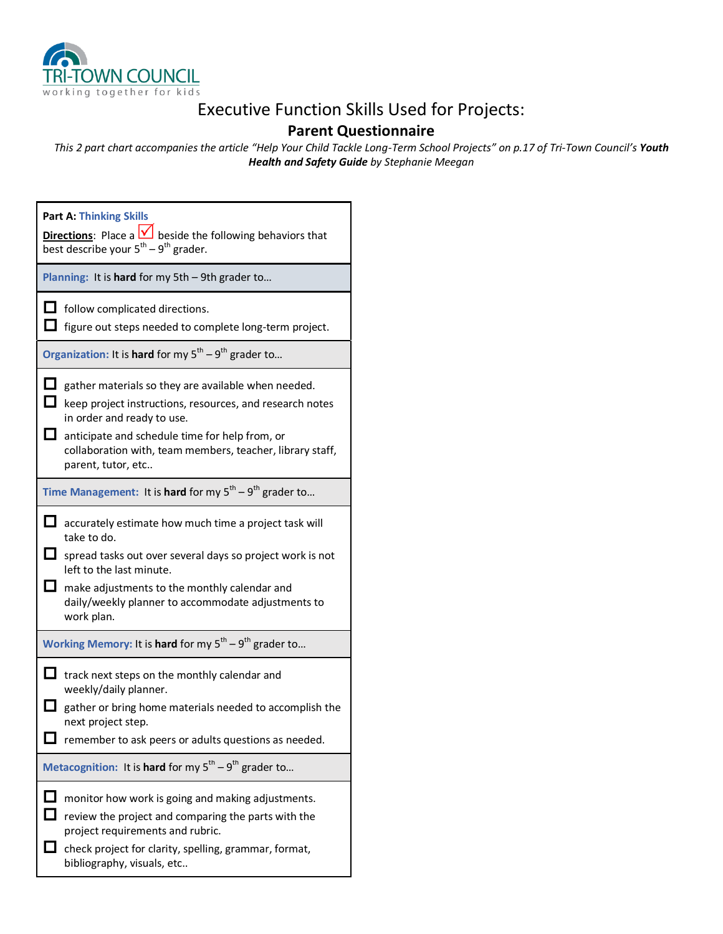

## Executive Function Skills Used for Projects:

## **Parent Questionnaire**

*This 2 part chart accompanies the article "Help Your Child Tackle Long-Term School Projects" on p.17 of Tri-Town Council's Youth Health and Safety Guide by Stephanie Meegan*

| <b>Part A: Thinking Skills</b><br><b>Directions:</b> Place a $\sqrt{\phantom{a}}$ beside the following behaviors that<br>best describe your 5 <sup>th</sup> – 9 <sup>th</sup> grader. |                                                                                                                                                                                                                                                                                    |  |
|---------------------------------------------------------------------------------------------------------------------------------------------------------------------------------------|------------------------------------------------------------------------------------------------------------------------------------------------------------------------------------------------------------------------------------------------------------------------------------|--|
| Planning: It is hard for my 5th - 9th grader to                                                                                                                                       |                                                                                                                                                                                                                                                                                    |  |
|                                                                                                                                                                                       | follow complicated directions.<br>figure out steps needed to complete long-term project.                                                                                                                                                                                           |  |
| Organization: It is hard for my $5^{th} - 9^{th}$ grader to                                                                                                                           |                                                                                                                                                                                                                                                                                    |  |
| $\Box$                                                                                                                                                                                | gather materials so they are available when needed.<br>keep project instructions, resources, and research notes<br>in order and ready to use.<br>anticipate and schedule time for help from, or<br>collaboration with, team members, teacher, library staff,<br>parent, tutor, etc |  |
| Time Management: It is hard for my $5^{th} - 9^{th}$ grader to                                                                                                                        |                                                                                                                                                                                                                                                                                    |  |
| Ū                                                                                                                                                                                     | accurately estimate how much time a project task will<br>take to do.<br>spread tasks out over several days so project work is not<br>left to the last minute.<br>make adjustments to the monthly calendar and<br>daily/weekly planner to accommodate adjustments to<br>work plan.  |  |
| Working Memory: It is hard for my $5^{th} - 9^{th}$ grader to                                                                                                                         |                                                                                                                                                                                                                                                                                    |  |
|                                                                                                                                                                                       | track next steps on the monthly calendar and<br>weekly/daily planner.<br>gather or bring home materials needed to accomplish the<br>next project step.<br>remember to ask peers or adults questions as needed.                                                                     |  |
| Metacognition: It is hard for my $5^{th} - 9^{th}$ grader to                                                                                                                          |                                                                                                                                                                                                                                                                                    |  |
|                                                                                                                                                                                       | monitor how work is going and making adjustments.<br>review the project and comparing the parts with the<br>project requirements and rubric.<br>check project for clarity, spelling, grammar, format,<br>bibliography, visuals, etc                                                |  |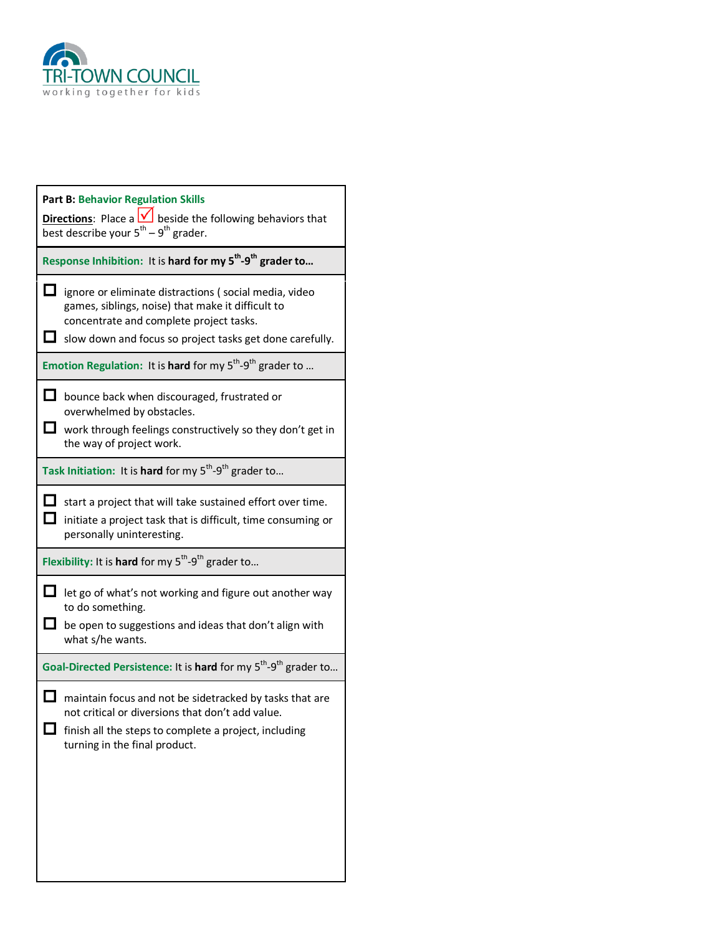

| <b>Part B: Behavior Regulation Skills</b><br><b>Directions:</b> Place a $\vee$ beside the following behaviors that<br>best describe your $5^{th}$ – 9 <sup>th</sup> grader. |                                                                                                                                                                                                                   |  |
|-----------------------------------------------------------------------------------------------------------------------------------------------------------------------------|-------------------------------------------------------------------------------------------------------------------------------------------------------------------------------------------------------------------|--|
| Response Inhibition: It is hard for my 5 <sup>th</sup> -9 <sup>th</sup> grader to                                                                                           |                                                                                                                                                                                                                   |  |
| ப                                                                                                                                                                           | ignore or eliminate distractions (social media, video<br>games, siblings, noise) that make it difficult to<br>concentrate and complete project tasks.<br>slow down and focus so project tasks get done carefully. |  |
| Emotion Regulation: It is hard for my $5^{th} - 9^{th}$ grader to                                                                                                           |                                                                                                                                                                                                                   |  |
|                                                                                                                                                                             | bounce back when discouraged, frustrated or<br>overwhelmed by obstacles.<br>work through feelings constructively so they don't get in<br>the way of project work.                                                 |  |
| Task Initiation: It is hard for my $5^{th}$ -9 <sup>th</sup> grader to                                                                                                      |                                                                                                                                                                                                                   |  |
|                                                                                                                                                                             | start a project that will take sustained effort over time.<br>initiate a project task that is difficult, time consuming or<br>personally uninteresting.                                                           |  |
| Flexibility: It is hard for my $5^{th}$ -9 <sup>th</sup> grader to                                                                                                          |                                                                                                                                                                                                                   |  |
|                                                                                                                                                                             | let go of what's not working and figure out another way<br>to do something.<br>be open to suggestions and ideas that don't align with<br>what s/he wants.                                                         |  |
| Goal-Directed Persistence: It is hard for my 5 <sup>th</sup> -9 <sup>th</sup> grader to                                                                                     |                                                                                                                                                                                                                   |  |
|                                                                                                                                                                             | maintain focus and not be sidetracked by tasks that are<br>not critical or diversions that don't add value.<br>finish all the steps to complete a project, including<br>turning in the final product.             |  |